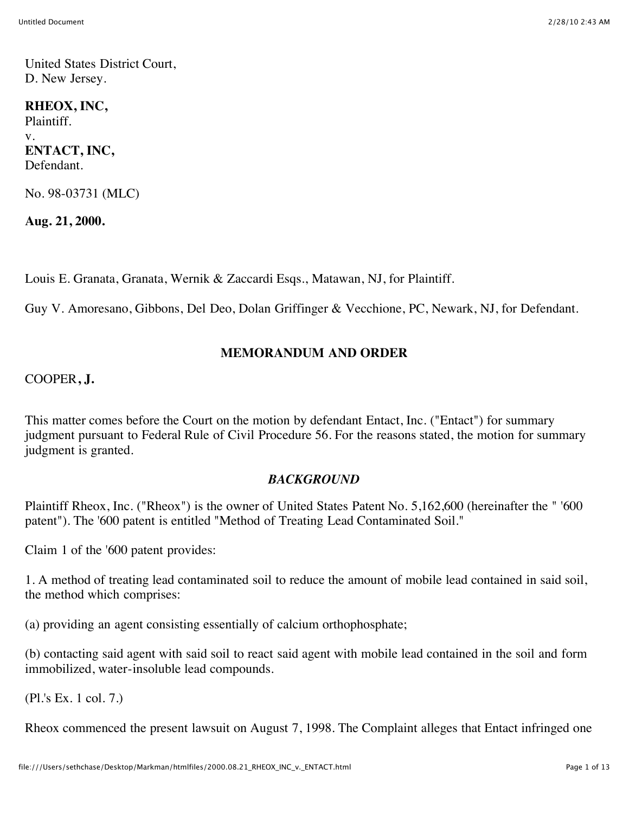United States District Court, D. New Jersey.

### **RHEOX, INC,** Plaintiff. v.

### **ENTACT, INC,** Defendant.

No. 98-03731 (MLC)

**Aug. 21, 2000.**

Louis E. Granata, Granata, Wernik & Zaccardi Esqs., Matawan, NJ, for Plaintiff.

Guy V. Amoresano, Gibbons, Del Deo, Dolan Griffinger & Vecchione, PC, Newark, NJ, for Defendant.

## **MEMORANDUM AND ORDER**

## COOPER**, J.**

This matter comes before the Court on the motion by defendant Entact, Inc. ("Entact") for summary judgment pursuant to Federal Rule of Civil Procedure 56. For the reasons stated, the motion for summary judgment is granted.

## *BACKGROUND*

Plaintiff Rheox, Inc. ("Rheox") is the owner of United States Patent No. 5,162,600 (hereinafter the " '600 patent"). The '600 patent is entitled "Method of Treating Lead Contaminated Soil."

Claim 1 of the '600 patent provides:

1. A method of treating lead contaminated soil to reduce the amount of mobile lead contained in said soil, the method which comprises:

(a) providing an agent consisting essentially of calcium orthophosphate;

(b) contacting said agent with said soil to react said agent with mobile lead contained in the soil and form immobilized, water-insoluble lead compounds.

(Pl.'s Ex. 1 col. 7.)

Rheox commenced the present lawsuit on August 7, 1998. The Complaint alleges that Entact infringed one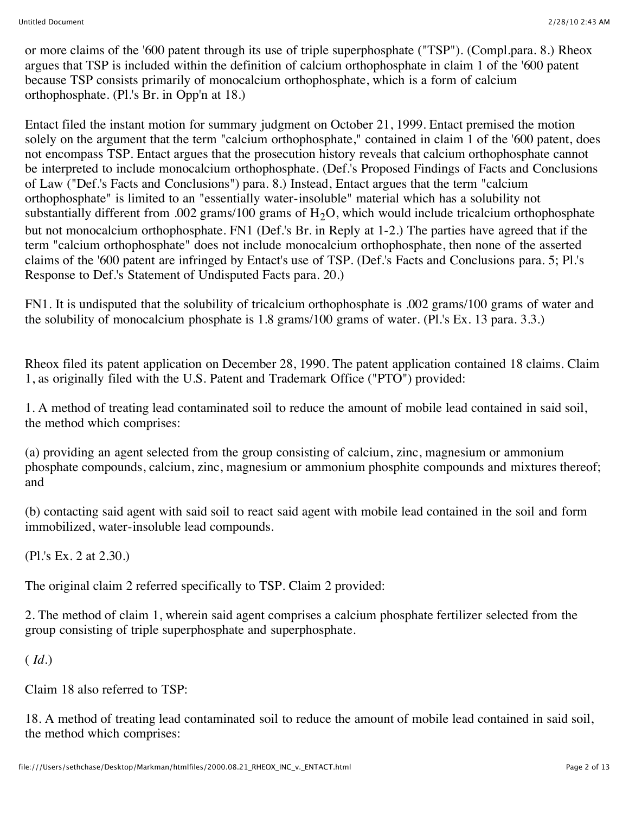or more claims of the '600 patent through its use of triple superphosphate ("TSP"). (Compl.para. 8.) Rheox argues that TSP is included within the definition of calcium orthophosphate in claim 1 of the '600 patent because TSP consists primarily of monocalcium orthophosphate, which is a form of calcium orthophosphate. (Pl.'s Br. in Opp'n at 18.)

Entact filed the instant motion for summary judgment on October 21, 1999. Entact premised the motion solely on the argument that the term "calcium orthophosphate," contained in claim 1 of the '600 patent, does not encompass TSP. Entact argues that the prosecution history reveals that calcium orthophosphate cannot be interpreted to include monocalcium orthophosphate. (Def.'s Proposed Findings of Facts and Conclusions of Law ("Def.'s Facts and Conclusions") para. 8.) Instead, Entact argues that the term "calcium orthophosphate" is limited to an "essentially water-insoluble" material which has a solubility not substantially different from .002 grams/100 grams of  $H_2O$ , which would include tricalcium orthophosphate but not monocalcium orthophosphate. FN1 (Def.'s Br. in Reply at 1-2.) The parties have agreed that if the term "calcium orthophosphate" does not include monocalcium orthophosphate, then none of the asserted claims of the '600 patent are infringed by Entact's use of TSP. (Def.'s Facts and Conclusions para. 5; Pl.'s Response to Def.'s Statement of Undisputed Facts para. 20.)

FN1. It is undisputed that the solubility of tricalcium orthophosphate is .002 grams/100 grams of water and the solubility of monocalcium phosphate is 1.8 grams/100 grams of water. (Pl.'s Ex. 13 para. 3.3.)

Rheox filed its patent application on December 28, 1990. The patent application contained 18 claims. Claim 1, as originally filed with the U.S. Patent and Trademark Office ("PTO") provided:

1. A method of treating lead contaminated soil to reduce the amount of mobile lead contained in said soil, the method which comprises:

(a) providing an agent selected from the group consisting of calcium, zinc, magnesium or ammonium phosphate compounds, calcium, zinc, magnesium or ammonium phosphite compounds and mixtures thereof; and

(b) contacting said agent with said soil to react said agent with mobile lead contained in the soil and form immobilized, water-insoluble lead compounds.

(Pl.'s Ex. 2 at 2.30.)

The original claim 2 referred specifically to TSP. Claim 2 provided:

2. The method of claim 1, wherein said agent comprises a calcium phosphate fertilizer selected from the group consisting of triple superphosphate and superphosphate.

( *Id.*)

Claim 18 also referred to TSP:

18. A method of treating lead contaminated soil to reduce the amount of mobile lead contained in said soil, the method which comprises: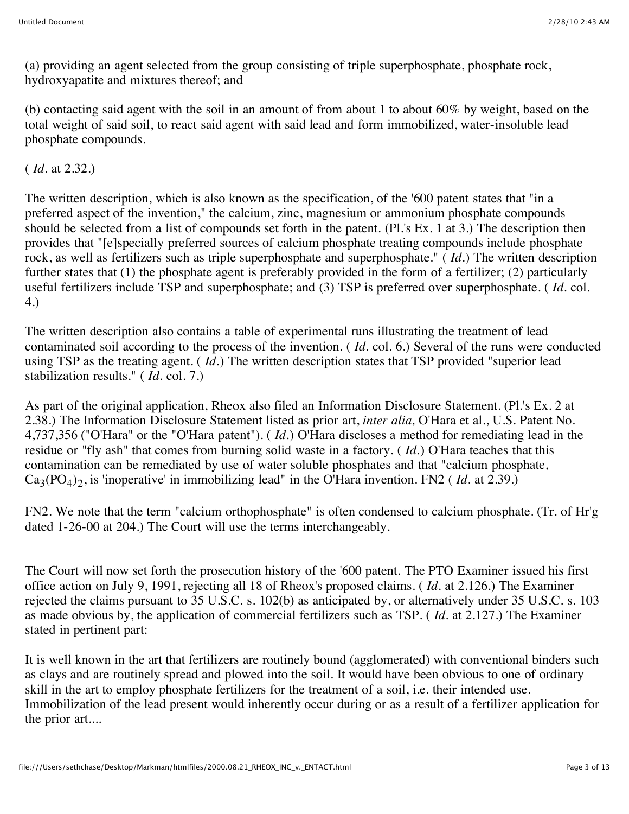(a) providing an agent selected from the group consisting of triple superphosphate, phosphate rock, hydroxyapatite and mixtures thereof; and

(b) contacting said agent with the soil in an amount of from about 1 to about  $60\%$  by weight, based on the total weight of said soil, to react said agent with said lead and form immobilized, water-insoluble lead phosphate compounds.

( *Id.* at 2.32.)

The written description, which is also known as the specification, of the '600 patent states that "in a preferred aspect of the invention," the calcium, zinc, magnesium or ammonium phosphate compounds should be selected from a list of compounds set forth in the patent. (Pl.'s Ex. 1 at 3.) The description then provides that "[e]specially preferred sources of calcium phosphate treating compounds include phosphate rock, as well as fertilizers such as triple superphosphate and superphosphate." ( *Id.*) The written description further states that (1) the phosphate agent is preferably provided in the form of a fertilizer; (2) particularly useful fertilizers include TSP and superphosphate; and (3) TSP is preferred over superphosphate. ( *Id.* col. 4.)

The written description also contains a table of experimental runs illustrating the treatment of lead contaminated soil according to the process of the invention. ( *Id.* col. 6.) Several of the runs were conducted using TSP as the treating agent. ( *Id.*) The written description states that TSP provided "superior lead stabilization results." ( *Id.* col. 7.)

As part of the original application, Rheox also filed an Information Disclosure Statement. (Pl.'s Ex. 2 at 2.38.) The Information Disclosure Statement listed as prior art, *inter alia,* O'Hara et al., U.S. Patent No. 4,737,356 ("O'Hara" or the "O'Hara patent"). ( *Id.*) O'Hara discloses a method for remediating lead in the residue or "fly ash" that comes from burning solid waste in a factory. ( *Id.*) O'Hara teaches that this contamination can be remediated by use of water soluble phosphates and that "calcium phosphate,  $Ca_3(PO_4)$ <sub>2</sub>, is 'inoperative' in immobilizing lead" in the O'Hara invention. FN2 (*Id.* at 2.39.)

FN2. We note that the term "calcium orthophosphate" is often condensed to calcium phosphate. (Tr. of Hr'g dated 1-26-00 at 204.) The Court will use the terms interchangeably.

The Court will now set forth the prosecution history of the '600 patent. The PTO Examiner issued his first office action on July 9, 1991, rejecting all 18 of Rheox's proposed claims. ( *Id.* at 2.126.) The Examiner rejected the claims pursuant to 35 U.S.C. s. 102(b) as anticipated by, or alternatively under 35 U.S.C. s. 103 as made obvious by, the application of commercial fertilizers such as TSP. ( *Id.* at 2.127.) The Examiner stated in pertinent part:

It is well known in the art that fertilizers are routinely bound (agglomerated) with conventional binders such as clays and are routinely spread and plowed into the soil. It would have been obvious to one of ordinary skill in the art to employ phosphate fertilizers for the treatment of a soil, i.e. their intended use. Immobilization of the lead present would inherently occur during or as a result of a fertilizer application for the prior art....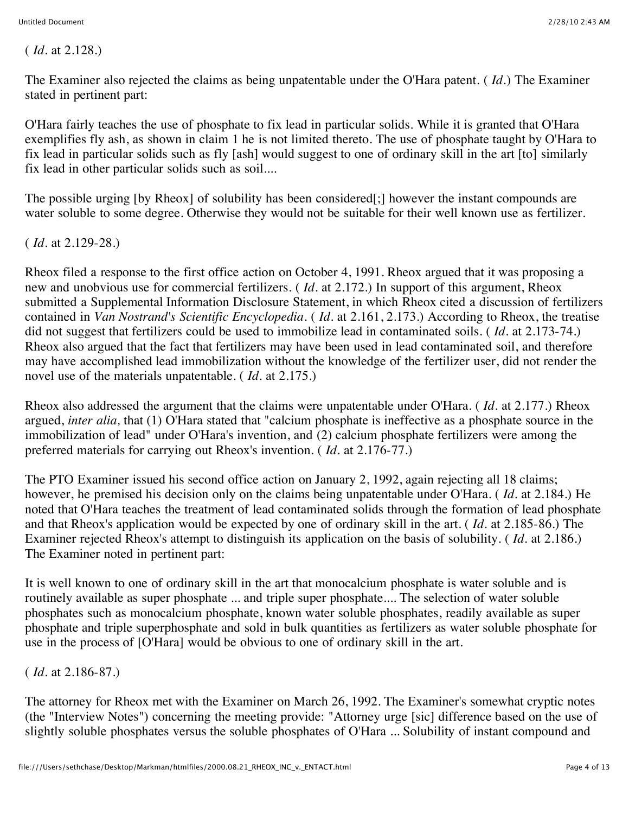( *Id.* at 2.128.)

The Examiner also rejected the claims as being unpatentable under the O'Hara patent. ( *Id.*) The Examiner stated in pertinent part:

O'Hara fairly teaches the use of phosphate to fix lead in particular solids. While it is granted that O'Hara exemplifies fly ash, as shown in claim 1 he is not limited thereto. The use of phosphate taught by O'Hara to fix lead in particular solids such as fly [ash] would suggest to one of ordinary skill in the art [to] similarly fix lead in other particular solids such as soil....

The possible urging [by Rheox] of solubility has been considered[;] however the instant compounds are water soluble to some degree. Otherwise they would not be suitable for their well known use as fertilizer.

( *Id.* at 2.129-28.)

Rheox filed a response to the first office action on October 4, 1991. Rheox argued that it was proposing a new and unobvious use for commercial fertilizers. ( *Id.* at 2.172.) In support of this argument, Rheox submitted a Supplemental Information Disclosure Statement, in which Rheox cited a discussion of fertilizers contained in *Van Nostrand's Scientific Encyclopedia.* ( *Id.* at 2.161, 2.173.) According to Rheox, the treatise did not suggest that fertilizers could be used to immobilize lead in contaminated soils. ( *Id.* at 2.173-74.) Rheox also argued that the fact that fertilizers may have been used in lead contaminated soil, and therefore may have accomplished lead immobilization without the knowledge of the fertilizer user, did not render the novel use of the materials unpatentable. ( *Id.* at 2.175.)

Rheox also addressed the argument that the claims were unpatentable under O'Hara. ( *Id.* at 2.177.) Rheox argued, *inter alia,* that (1) O'Hara stated that "calcium phosphate is ineffective as a phosphate source in the immobilization of lead" under O'Hara's invention, and (2) calcium phosphate fertilizers were among the preferred materials for carrying out Rheox's invention. ( *Id.* at 2.176-77.)

The PTO Examiner issued his second office action on January 2, 1992, again rejecting all 18 claims; however, he premised his decision only on the claims being unpatentable under O'Hara. ( *Id.* at 2.184.) He noted that O'Hara teaches the treatment of lead contaminated solids through the formation of lead phosphate and that Rheox's application would be expected by one of ordinary skill in the art. ( *Id.* at 2.185-86.) The Examiner rejected Rheox's attempt to distinguish its application on the basis of solubility. ( *Id.* at 2.186.) The Examiner noted in pertinent part:

It is well known to one of ordinary skill in the art that monocalcium phosphate is water soluble and is routinely available as super phosphate ... and triple super phosphate.... The selection of water soluble phosphates such as monocalcium phosphate, known water soluble phosphates, readily available as super phosphate and triple superphosphate and sold in bulk quantities as fertilizers as water soluble phosphate for use in the process of [O'Hara] would be obvious to one of ordinary skill in the art.

( *Id.* at 2.186-87.)

The attorney for Rheox met with the Examiner on March 26, 1992. The Examiner's somewhat cryptic notes (the "Interview Notes") concerning the meeting provide: "Attorney urge [sic] difference based on the use of slightly soluble phosphates versus the soluble phosphates of O'Hara ... Solubility of instant compound and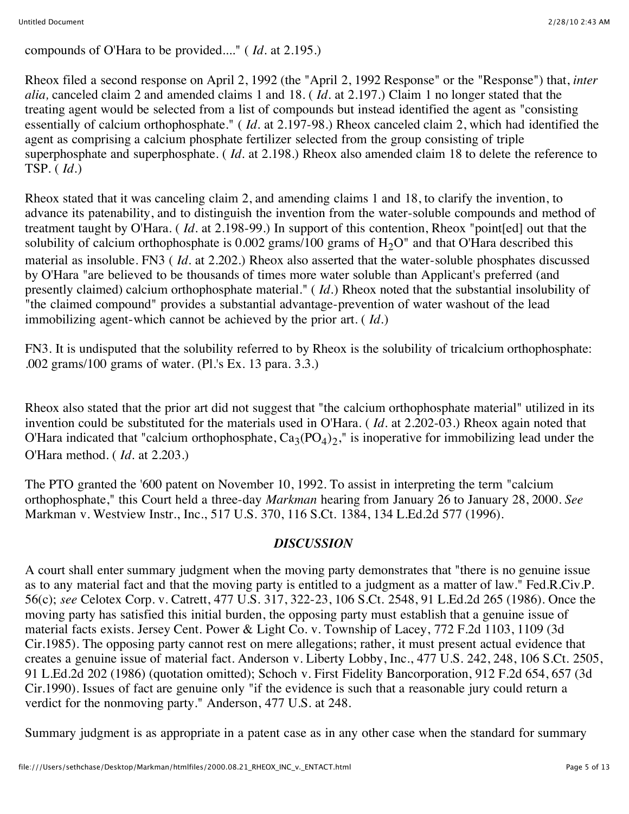compounds of O'Hara to be provided...." ( *Id.* at 2.195.)

Rheox filed a second response on April 2, 1992 (the "April 2, 1992 Response" or the "Response") that, *inter alia,* canceled claim 2 and amended claims 1 and 18. ( *Id.* at 2.197.) Claim 1 no longer stated that the treating agent would be selected from a list of compounds but instead identified the agent as "consisting essentially of calcium orthophosphate." ( *Id.* at 2.197-98.) Rheox canceled claim 2, which had identified the agent as comprising a calcium phosphate fertilizer selected from the group consisting of triple superphosphate and superphosphate. ( *Id.* at 2.198.) Rheox also amended claim 18 to delete the reference to TSP. ( *Id.*)

Rheox stated that it was canceling claim 2, and amending claims 1 and 18, to clarify the invention, to advance its patenability, and to distinguish the invention from the water-soluble compounds and method of treatment taught by O'Hara. ( *Id.* at 2.198-99.) In support of this contention, Rheox "point[ed] out that the solubility of calcium orthophosphate is 0.002 grams/100 grams of  $H<sub>2</sub>O''$  and that O'Hara described this material as insoluble. FN3 ( *Id.* at 2.202.) Rheox also asserted that the water-soluble phosphates discussed by O'Hara "are believed to be thousands of times more water soluble than Applicant's preferred (and presently claimed) calcium orthophosphate material." ( *Id.*) Rheox noted that the substantial insolubility of "the claimed compound" provides a substantial advantage-prevention of water washout of the lead immobilizing agent-which cannot be achieved by the prior art. ( *Id.*)

FN3. It is undisputed that the solubility referred to by Rheox is the solubility of tricalcium orthophosphate: .002 grams/100 grams of water. (Pl.'s Ex. 13 para. 3.3.)

Rheox also stated that the prior art did not suggest that "the calcium orthophosphate material" utilized in its invention could be substituted for the materials used in O'Hara. ( *Id.* at 2.202-03.) Rheox again noted that O'Hara indicated that "calcium orthophosphate,  $Ca_3(PO_4)_2$ ," is inoperative for immobilizing lead under the O'Hara method. ( *Id.* at 2.203.)

The PTO granted the '600 patent on November 10, 1992. To assist in interpreting the term "calcium orthophosphate," this Court held a three-day *Markman* hearing from January 26 to January 28, 2000. *See* Markman v. Westview Instr., Inc., 517 U.S. 370, 116 S.Ct. 1384, 134 L.Ed.2d 577 (1996).

### *DISCUSSION*

A court shall enter summary judgment when the moving party demonstrates that "there is no genuine issue as to any material fact and that the moving party is entitled to a judgment as a matter of law." Fed.R.Civ.P. 56(c); *see* Celotex Corp. v. Catrett, 477 U.S. 317, 322-23, 106 S.Ct. 2548, 91 L.Ed.2d 265 (1986). Once the moving party has satisfied this initial burden, the opposing party must establish that a genuine issue of material facts exists. Jersey Cent. Power & Light Co. v. Township of Lacey, 772 F.2d 1103, 1109 (3d Cir.1985). The opposing party cannot rest on mere allegations; rather, it must present actual evidence that creates a genuine issue of material fact. Anderson v. Liberty Lobby, Inc., 477 U.S. 242, 248, 106 S.Ct. 2505, 91 L.Ed.2d 202 (1986) (quotation omitted); Schoch v. First Fidelity Bancorporation, 912 F.2d 654, 657 (3d Cir.1990). Issues of fact are genuine only "if the evidence is such that a reasonable jury could return a verdict for the nonmoving party." Anderson, 477 U.S. at 248.

Summary judgment is as appropriate in a patent case as in any other case when the standard for summary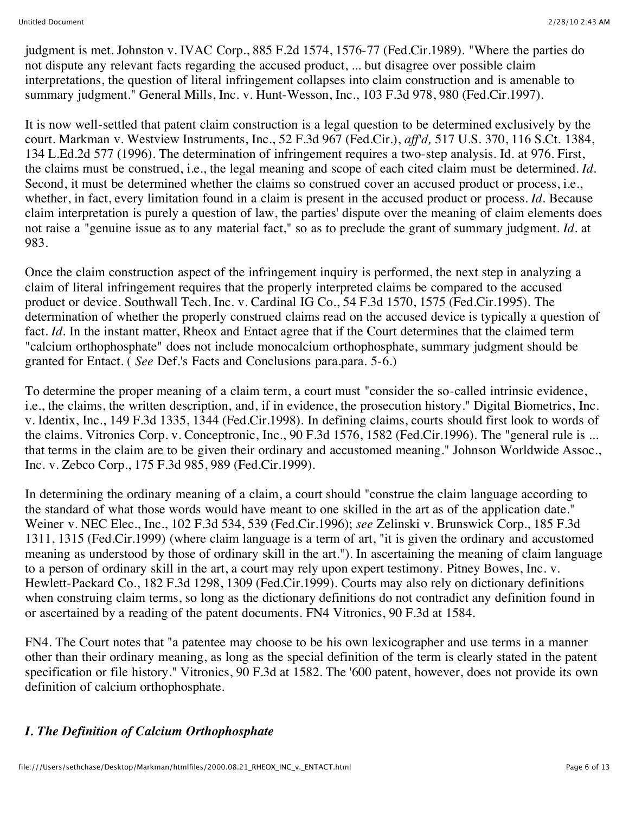judgment is met. Johnston v. IVAC Corp., 885 F.2d 1574, 1576-77 (Fed.Cir.1989). "Where the parties do not dispute any relevant facts regarding the accused product, ... but disagree over possible claim interpretations, the question of literal infringement collapses into claim construction and is amenable to summary judgment." General Mills, Inc. v. Hunt-Wesson, Inc., 103 F.3d 978, 980 (Fed.Cir.1997).

It is now well-settled that patent claim construction is a legal question to be determined exclusively by the court. Markman v. Westview Instruments, Inc., 52 F.3d 967 (Fed.Cir.), *aff'd,* 517 U.S. 370, 116 S.Ct. 1384, 134 L.Ed.2d 577 (1996). The determination of infringement requires a two-step analysis. Id. at 976. First, the claims must be construed, i.e., the legal meaning and scope of each cited claim must be determined. *Id.* Second, it must be determined whether the claims so construed cover an accused product or process, i.e., whether, in fact, every limitation found in a claim is present in the accused product or process. *Id.* Because claim interpretation is purely a question of law, the parties' dispute over the meaning of claim elements does not raise a "genuine issue as to any material fact," so as to preclude the grant of summary judgment. *Id.* at 983.

Once the claim construction aspect of the infringement inquiry is performed, the next step in analyzing a claim of literal infringement requires that the properly interpreted claims be compared to the accused product or device. Southwall Tech. Inc. v. Cardinal IG Co., 54 F.3d 1570, 1575 (Fed.Cir.1995). The determination of whether the properly construed claims read on the accused device is typically a question of fact. *Id*. In the instant matter, Rheox and Entact agree that if the Court determines that the claimed term "calcium orthophosphate" does not include monocalcium orthophosphate, summary judgment should be granted for Entact. ( *See* Def.'s Facts and Conclusions para.para. 5-6.)

To determine the proper meaning of a claim term, a court must "consider the so-called intrinsic evidence, i.e., the claims, the written description, and, if in evidence, the prosecution history." Digital Biometrics, Inc. v. Identix, Inc., 149 F.3d 1335, 1344 (Fed.Cir.1998). In defining claims, courts should first look to words of the claims. Vitronics Corp. v. Conceptronic, Inc., 90 F.3d 1576, 1582 (Fed.Cir.1996). The "general rule is ... that terms in the claim are to be given their ordinary and accustomed meaning." Johnson Worldwide Assoc., Inc. v. Zebco Corp., 175 F.3d 985, 989 (Fed.Cir.1999).

In determining the ordinary meaning of a claim, a court should "construe the claim language according to the standard of what those words would have meant to one skilled in the art as of the application date." Weiner v. NEC Elec., Inc., 102 F.3d 534, 539 (Fed.Cir.1996); *see* Zelinski v. Brunswick Corp., 185 F.3d 1311, 1315 (Fed.Cir.1999) (where claim language is a term of art, "it is given the ordinary and accustomed meaning as understood by those of ordinary skill in the art."). In ascertaining the meaning of claim language to a person of ordinary skill in the art, a court may rely upon expert testimony. Pitney Bowes, Inc. v. Hewlett-Packard Co., 182 F.3d 1298, 1309 (Fed.Cir.1999). Courts may also rely on dictionary definitions when construing claim terms, so long as the dictionary definitions do not contradict any definition found in or ascertained by a reading of the patent documents. FN4 Vitronics, 90 F.3d at 1584.

FN4. The Court notes that "a patentee may choose to be his own lexicographer and use terms in a manner other than their ordinary meaning, as long as the special definition of the term is clearly stated in the patent specification or file history." Vitronics, 90 F.3d at 1582. The '600 patent, however, does not provide its own definition of calcium orthophosphate.

## *I. The Definition of Calcium Orthophosphate*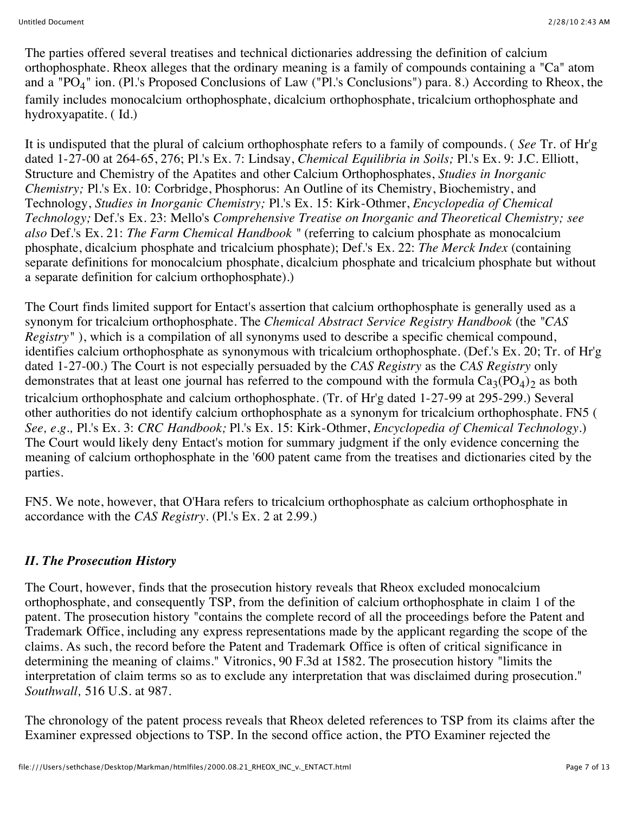The parties offered several treatises and technical dictionaries addressing the definition of calcium orthophosphate. Rheox alleges that the ordinary meaning is a family of compounds containing a "Ca" atom and a "PO<sub>4</sub>" ion. (Pl.'s Proposed Conclusions of Law ("Pl.'s Conclusions") para. 8.) According to Rheox, the family includes monocalcium orthophosphate, dicalcium orthophosphate, tricalcium orthophosphate and hydroxyapatite. ( Id.)

It is undisputed that the plural of calcium orthophosphate refers to a family of compounds. ( *See* Tr. of Hr'g dated 1-27-00 at 264-65, 276; Pl.'s Ex. 7: Lindsay, *Chemical Equilibria in Soils;* Pl.'s Ex. 9: J.C. Elliott, Structure and Chemistry of the Apatites and other Calcium Orthophosphates, *Studies in Inorganic Chemistry;* Pl.'s Ex. 10: Corbridge, Phosphorus: An Outline of its Chemistry, Biochemistry, and Technology, *Studies in Inorganic Chemistry;* Pl.'s Ex. 15: Kirk-Othmer, *Encyclopedia of Chemical Technology;* Def.'s Ex. 23: Mello's *Comprehensive Treatise on Inorganic and Theoretical Chemistry; see also* Def.'s Ex. 21: *The Farm Chemical Handbook "* (referring to calcium phosphate as monocalcium phosphate, dicalcium phosphate and tricalcium phosphate); Def.'s Ex. 22: *The Merck Index* (containing separate definitions for monocalcium phosphate, dicalcium phosphate and tricalcium phosphate but without a separate definition for calcium orthophosphate).)

The Court finds limited support for Entact's assertion that calcium orthophosphate is generally used as a synonym for tricalcium orthophosphate. The *Chemical Abstract Service Registry Handbook* (the *"CAS Registry"*), which is a compilation of all synonyms used to describe a specific chemical compound, identifies calcium orthophosphate as synonymous with tricalcium orthophosphate. (Def.'s Ex. 20; Tr. of Hr'g dated 1-27-00.) The Court is not especially persuaded by the *CAS Registry* as the *CAS Registry* only demonstrates that at least one journal has referred to the compound with the formula  $Ca_3(PO_4)$ <sub>2</sub> as both tricalcium orthophosphate and calcium orthophosphate. (Tr. of Hr'g dated 1-27-99 at 295-299.) Several other authorities do not identify calcium orthophosphate as a synonym for tricalcium orthophosphate. FN5 ( *See, e.g.,* Pl.'s Ex. 3: *CRC Handbook;* Pl.'s Ex. 15: Kirk-Othmer, *Encyclopedia of Chemical Technology.*) The Court would likely deny Entact's motion for summary judgment if the only evidence concerning the meaning of calcium orthophosphate in the '600 patent came from the treatises and dictionaries cited by the parties.

FN5. We note, however, that O'Hara refers to tricalcium orthophosphate as calcium orthophosphate in accordance with the *CAS Registry.* (Pl.'s Ex. 2 at 2.99.)

## *II. The Prosecution History*

The Court, however, finds that the prosecution history reveals that Rheox excluded monocalcium orthophosphate, and consequently TSP, from the definition of calcium orthophosphate in claim 1 of the patent. The prosecution history "contains the complete record of all the proceedings before the Patent and Trademark Office, including any express representations made by the applicant regarding the scope of the claims. As such, the record before the Patent and Trademark Office is often of critical significance in determining the meaning of claims." Vitronics, 90 F.3d at 1582. The prosecution history "limits the interpretation of claim terms so as to exclude any interpretation that was disclaimed during prosecution." *Southwall,* 516 U.S. at 987.

The chronology of the patent process reveals that Rheox deleted references to TSP from its claims after the Examiner expressed objections to TSP. In the second office action, the PTO Examiner rejected the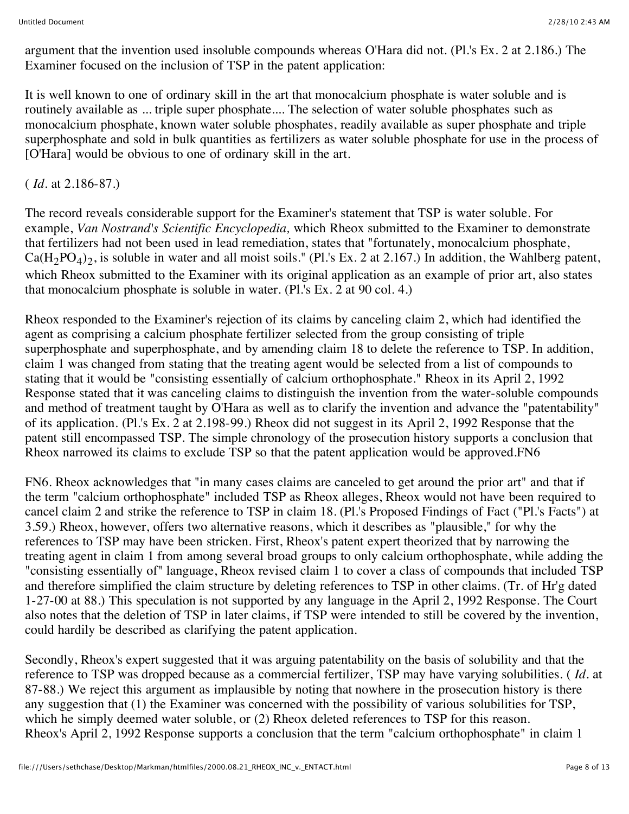argument that the invention used insoluble compounds whereas O'Hara did not. (Pl.'s Ex. 2 at 2.186.) The Examiner focused on the inclusion of TSP in the patent application:

It is well known to one of ordinary skill in the art that monocalcium phosphate is water soluble and is routinely available as ... triple super phosphate.... The selection of water soluble phosphates such as monocalcium phosphate, known water soluble phosphates, readily available as super phosphate and triple superphosphate and sold in bulk quantities as fertilizers as water soluble phosphate for use in the process of [O'Hara] would be obvious to one of ordinary skill in the art.

## ( *Id.* at 2.186-87.)

The record reveals considerable support for the Examiner's statement that TSP is water soluble. For example, *Van Nostrand's Scientific Encyclopedia,* which Rheox submitted to the Examiner to demonstrate that fertilizers had not been used in lead remediation, states that "fortunately, monocalcium phosphate,  $Ca(H_2PO_4)_2$ , is soluble in water and all moist soils." (Pl.'s Ex. 2 at 2.167.) In addition, the Wahlberg patent, which Rheox submitted to the Examiner with its original application as an example of prior art, also states that monocalcium phosphate is soluble in water. (Pl.'s Ex. 2 at 90 col. 4.)

Rheox responded to the Examiner's rejection of its claims by canceling claim 2, which had identified the agent as comprising a calcium phosphate fertilizer selected from the group consisting of triple superphosphate and superphosphate, and by amending claim 18 to delete the reference to TSP. In addition, claim 1 was changed from stating that the treating agent would be selected from a list of compounds to stating that it would be "consisting essentially of calcium orthophosphate." Rheox in its April 2, 1992 Response stated that it was canceling claims to distinguish the invention from the water-soluble compounds and method of treatment taught by O'Hara as well as to clarify the invention and advance the "patentability" of its application. (Pl.'s Ex. 2 at 2.198-99.) Rheox did not suggest in its April 2, 1992 Response that the patent still encompassed TSP. The simple chronology of the prosecution history supports a conclusion that Rheox narrowed its claims to exclude TSP so that the patent application would be approved.FN6

FN6. Rheox acknowledges that "in many cases claims are canceled to get around the prior art" and that if the term "calcium orthophosphate" included TSP as Rheox alleges, Rheox would not have been required to cancel claim 2 and strike the reference to TSP in claim 18. (Pl.'s Proposed Findings of Fact ("Pl.'s Facts") at 3.59.) Rheox, however, offers two alternative reasons, which it describes as "plausible," for why the references to TSP may have been stricken. First, Rheox's patent expert theorized that by narrowing the treating agent in claim 1 from among several broad groups to only calcium orthophosphate, while adding the "consisting essentially of" language, Rheox revised claim 1 to cover a class of compounds that included TSP and therefore simplified the claim structure by deleting references to TSP in other claims. (Tr. of Hr'g dated 1-27-00 at 88.) This speculation is not supported by any language in the April 2, 1992 Response. The Court also notes that the deletion of TSP in later claims, if TSP were intended to still be covered by the invention, could hardily be described as clarifying the patent application.

Secondly, Rheox's expert suggested that it was arguing patentability on the basis of solubility and that the reference to TSP was dropped because as a commercial fertilizer, TSP may have varying solubilities. ( *Id.* at 87-88.) We reject this argument as implausible by noting that nowhere in the prosecution history is there any suggestion that (1) the Examiner was concerned with the possibility of various solubilities for TSP, which he simply deemed water soluble, or (2) Rheox deleted references to TSP for this reason. Rheox's April 2, 1992 Response supports a conclusion that the term "calcium orthophosphate" in claim 1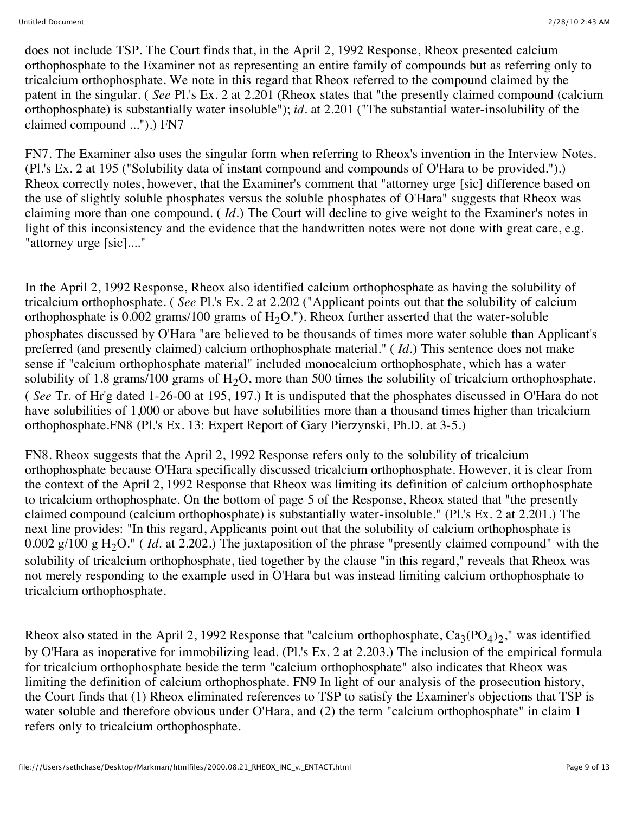does not include TSP. The Court finds that, in the April 2, 1992 Response, Rheox presented calcium orthophosphate to the Examiner not as representing an entire family of compounds but as referring only to tricalcium orthophosphate. We note in this regard that Rheox referred to the compound claimed by the patent in the singular. ( *See* Pl.'s Ex. 2 at 2.201 (Rheox states that "the presently claimed compound (calcium orthophosphate) is substantially water insoluble"); *id.* at 2.201 ("The substantial water-insolubility of the claimed compound ...").) FN7

FN7. The Examiner also uses the singular form when referring to Rheox's invention in the Interview Notes. (Pl.'s Ex. 2 at 195 ("Solubility data of instant compound and compounds of O'Hara to be provided.").) Rheox correctly notes, however, that the Examiner's comment that "attorney urge [sic] difference based on the use of slightly soluble phosphates versus the soluble phosphates of O'Hara" suggests that Rheox was claiming more than one compound. ( *Id.*) The Court will decline to give weight to the Examiner's notes in light of this inconsistency and the evidence that the handwritten notes were not done with great care, e.g. "attorney urge [sic]...."

In the April 2, 1992 Response, Rheox also identified calcium orthophosphate as having the solubility of tricalcium orthophosphate. ( *See* Pl.'s Ex. 2 at 2.202 ("Applicant points out that the solubility of calcium orthophosphate is 0.002 grams/100 grams of  $H_2O$ ."). Rheox further asserted that the water-soluble phosphates discussed by O'Hara "are believed to be thousands of times more water soluble than Applicant's preferred (and presently claimed) calcium orthophosphate material." ( *Id.*) This sentence does not make sense if "calcium orthophosphate material" included monocalcium orthophosphate, which has a water solubility of 1.8 grams/100 grams of  $H_2O$ , more than 500 times the solubility of tricalcium orthophosphate. ( *See* Tr. of Hr'g dated 1-26-00 at 195, 197.) It is undisputed that the phosphates discussed in O'Hara do not have solubilities of 1,000 or above but have solubilities more than a thousand times higher than tricalcium orthophosphate.FN8 (Pl.'s Ex. 13: Expert Report of Gary Pierzynski, Ph.D. at 3-5.)

FN8. Rheox suggests that the April 2, 1992 Response refers only to the solubility of tricalcium orthophosphate because O'Hara specifically discussed tricalcium orthophosphate. However, it is clear from the context of the April 2, 1992 Response that Rheox was limiting its definition of calcium orthophosphate to tricalcium orthophosphate. On the bottom of page 5 of the Response, Rheox stated that "the presently claimed compound (calcium orthophosphate) is substantially water-insoluble." (Pl.'s Ex. 2 at 2.201.) The next line provides: "In this regard, Applicants point out that the solubility of calcium orthophosphate is 0.002 g/100 g H<sub>2</sub>O." (*Id.* at 2.202.) The juxtaposition of the phrase "presently claimed compound" with the solubility of tricalcium orthophosphate, tied together by the clause "in this regard," reveals that Rheox was not merely responding to the example used in O'Hara but was instead limiting calcium orthophosphate to tricalcium orthophosphate.

Rheox also stated in the April 2, 1992 Response that "calcium orthophosphate,  $Ca_3(PO_4)_2$ ," was identified by O'Hara as inoperative for immobilizing lead. (Pl.'s Ex. 2 at 2.203.) The inclusion of the empirical formula for tricalcium orthophosphate beside the term "calcium orthophosphate" also indicates that Rheox was limiting the definition of calcium orthophosphate. FN9 In light of our analysis of the prosecution history, the Court finds that (1) Rheox eliminated references to TSP to satisfy the Examiner's objections that TSP is water soluble and therefore obvious under O'Hara, and (2) the term "calcium orthophosphate" in claim 1 refers only to tricalcium orthophosphate.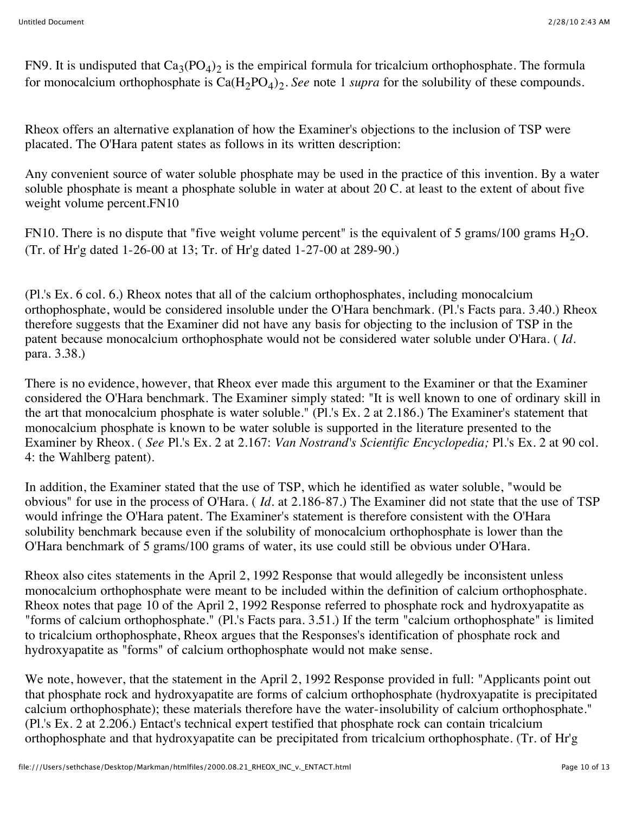FN9. It is undisputed that  $Ca_3(PO_4)_2$  is the empirical formula for tricalcium orthophosphate. The formula for monocalcium orthophosphate is  $Ca(H<sub>2</sub>PO<sub>4</sub>)<sub>2</sub>$ . *See* note 1 *supra* for the solubility of these compounds.

Rheox offers an alternative explanation of how the Examiner's objections to the inclusion of TSP were placated. The O'Hara patent states as follows in its written description:

Any convenient source of water soluble phosphate may be used in the practice of this invention. By a water soluble phosphate is meant a phosphate soluble in water at about 20 C. at least to the extent of about five weight volume percent.FN10

FN10. There is no dispute that "five weight volume percent" is the equivalent of 5 grams/100 grams  $H_2O$ . (Tr. of Hr'g dated 1-26-00 at 13; Tr. of Hr'g dated 1-27-00 at 289-90.)

(Pl.'s Ex. 6 col. 6.) Rheox notes that all of the calcium orthophosphates, including monocalcium orthophosphate, would be considered insoluble under the O'Hara benchmark. (Pl.'s Facts para. 3.40.) Rheox therefore suggests that the Examiner did not have any basis for objecting to the inclusion of TSP in the patent because monocalcium orthophosphate would not be considered water soluble under O'Hara. ( *Id.* para. 3.38.)

There is no evidence, however, that Rheox ever made this argument to the Examiner or that the Examiner considered the O'Hara benchmark. The Examiner simply stated: "It is well known to one of ordinary skill in the art that monocalcium phosphate is water soluble." (Pl.'s Ex. 2 at 2.186.) The Examiner's statement that monocalcium phosphate is known to be water soluble is supported in the literature presented to the Examiner by Rheox. ( *See* Pl.'s Ex. 2 at 2.167: *Van Nostrand's Scientific Encyclopedia;* Pl.'s Ex. 2 at 90 col. 4: the Wahlberg patent).

In addition, the Examiner stated that the use of TSP, which he identified as water soluble, "would be obvious" for use in the process of O'Hara. ( *Id.* at 2.186-87.) The Examiner did not state that the use of TSP would infringe the O'Hara patent. The Examiner's statement is therefore consistent with the O'Hara solubility benchmark because even if the solubility of monocalcium orthophosphate is lower than the O'Hara benchmark of 5 grams/100 grams of water, its use could still be obvious under O'Hara.

Rheox also cites statements in the April 2, 1992 Response that would allegedly be inconsistent unless monocalcium orthophosphate were meant to be included within the definition of calcium orthophosphate. Rheox notes that page 10 of the April 2, 1992 Response referred to phosphate rock and hydroxyapatite as "forms of calcium orthophosphate." (Pl.'s Facts para. 3.51.) If the term "calcium orthophosphate" is limited to tricalcium orthophosphate, Rheox argues that the Responses's identification of phosphate rock and hydroxyapatite as "forms" of calcium orthophosphate would not make sense.

We note, however, that the statement in the April 2, 1992 Response provided in full: "Applicants point out that phosphate rock and hydroxyapatite are forms of calcium orthophosphate (hydroxyapatite is precipitated calcium orthophosphate); these materials therefore have the water-insolubility of calcium orthophosphate." (Pl.'s Ex. 2 at 2.206.) Entact's technical expert testified that phosphate rock can contain tricalcium orthophosphate and that hydroxyapatite can be precipitated from tricalcium orthophosphate. (Tr. of Hr'g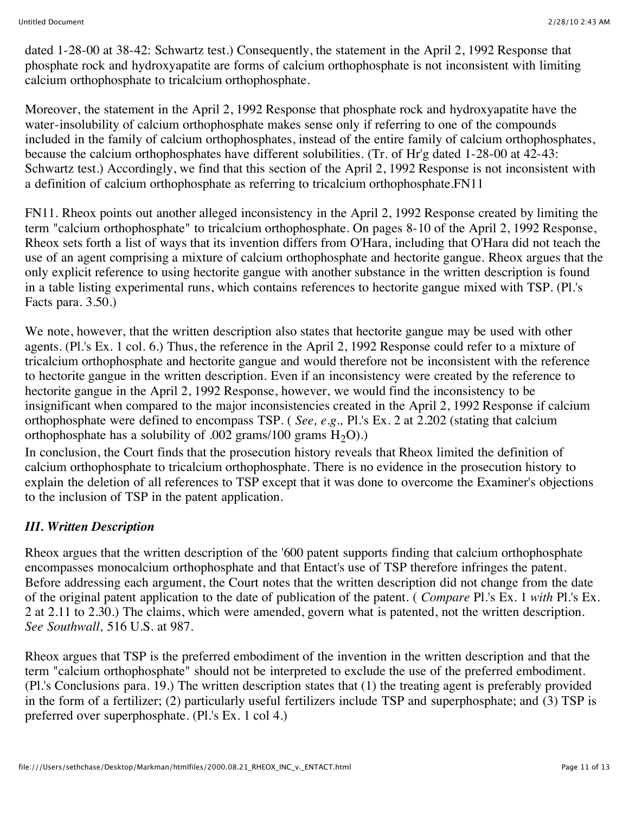dated 1-28-00 at 38-42: Schwartz test.) Consequently, the statement in the April 2, 1992 Response that phosphate rock and hydroxyapatite are forms of calcium orthophosphate is not inconsistent with limiting calcium orthophosphate to tricalcium orthophosphate.

Moreover, the statement in the April 2, 1992 Response that phosphate rock and hydroxyapatite have the water-insolubility of calcium orthophosphate makes sense only if referring to one of the compounds included in the family of calcium orthophosphates, instead of the entire family of calcium orthophosphates, because the calcium orthophosphates have different solubilities. (Tr. of Hr'g dated 1-28-00 at 42-43: Schwartz test.) Accordingly, we find that this section of the April 2, 1992 Response is not inconsistent with a definition of calcium orthophosphate as referring to tricalcium orthophosphate.FN11

FN11. Rheox points out another alleged inconsistency in the April 2, 1992 Response created by limiting the term "calcium orthophosphate" to tricalcium orthophosphate. On pages 8-10 of the April 2, 1992 Response, Rheox sets forth a list of ways that its invention differs from O'Hara, including that O'Hara did not teach the use of an agent comprising a mixture of calcium orthophosphate and hectorite gangue. Rheox argues that the only explicit reference to using hectorite gangue with another substance in the written description is found in a table listing experimental runs, which contains references to hectorite gangue mixed with TSP. (Pl.'s Facts para. 3.50.)

We note, however, that the written description also states that hectorite gangue may be used with other agents. (Pl.'s Ex. 1 col. 6.) Thus, the reference in the April 2, 1992 Response could refer to a mixture of tricalcium orthophosphate and hectorite gangue and would therefore not be inconsistent with the reference to hectorite gangue in the written description. Even if an inconsistency were created by the reference to hectorite gangue in the April 2, 1992 Response, however, we would find the inconsistency to be insignificant when compared to the major inconsistencies created in the April 2, 1992 Response if calcium orthophosphate were defined to encompass TSP. ( *See, e.g.,* Pl.'s Ex. 2 at 2.202 (stating that calcium orthophosphate has a solubility of .002 grams/100 grams  $H_2O$ ).)

In conclusion, the Court finds that the prosecution history reveals that Rheox limited the definition of calcium orthophosphate to tricalcium orthophosphate. There is no evidence in the prosecution history to explain the deletion of all references to TSP except that it was done to overcome the Examiner's objections to the inclusion of TSP in the patent application.

# *III. Written Description*

Rheox argues that the written description of the '600 patent supports finding that calcium orthophosphate encompasses monocalcium orthophosphate and that Entact's use of TSP therefore infringes the patent. Before addressing each argument, the Court notes that the written description did not change from the date of the original patent application to the date of publication of the patent. ( *Compare* Pl.'s Ex. 1 *with* Pl.'s Ex. 2 at 2.11 to 2.30.) The claims, which were amended, govern what is patented, not the written description. *See Southwall,* 516 U.S. at 987.

Rheox argues that TSP is the preferred embodiment of the invention in the written description and that the term "calcium orthophosphate" should not be interpreted to exclude the use of the preferred embodiment. (Pl.'s Conclusions para. 19.) The written description states that (1) the treating agent is preferably provided in the form of a fertilizer; (2) particularly useful fertilizers include TSP and superphosphate; and (3) TSP is preferred over superphosphate. (Pl.'s Ex. 1 col 4.)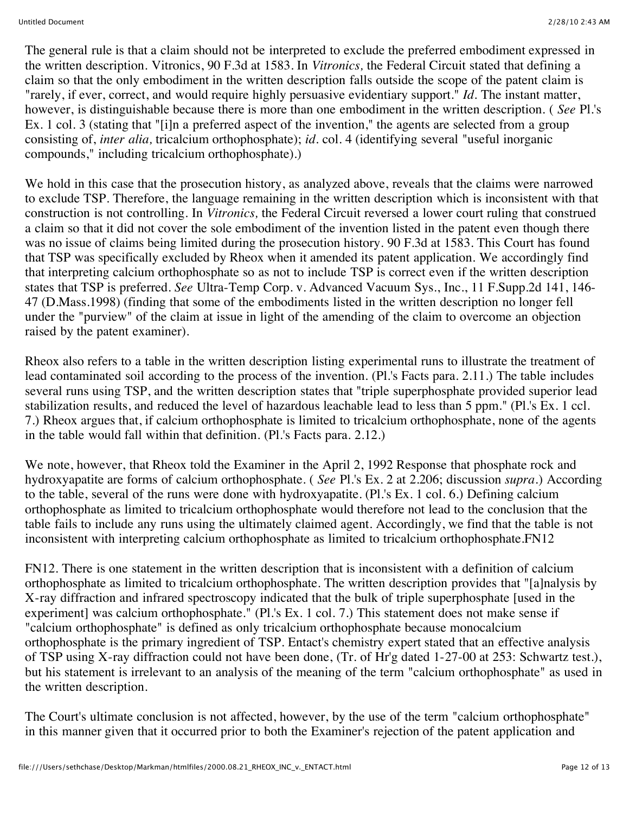The general rule is that a claim should not be interpreted to exclude the preferred embodiment expressed in the written description. Vitronics, 90 F.3d at 1583. In *Vitronics,* the Federal Circuit stated that defining a claim so that the only embodiment in the written description falls outside the scope of the patent claim is "rarely, if ever, correct, and would require highly persuasive evidentiary support." *Id.* The instant matter, however, is distinguishable because there is more than one embodiment in the written description. ( *See* Pl.'s Ex. 1 col. 3 (stating that "[i]n a preferred aspect of the invention," the agents are selected from a group consisting of, *inter alia,* tricalcium orthophosphate); *id.* col. 4 (identifying several "useful inorganic compounds," including tricalcium orthophosphate).)

We hold in this case that the prosecution history, as analyzed above, reveals that the claims were narrowed to exclude TSP. Therefore, the language remaining in the written description which is inconsistent with that construction is not controlling. In *Vitronics,* the Federal Circuit reversed a lower court ruling that construed a claim so that it did not cover the sole embodiment of the invention listed in the patent even though there was no issue of claims being limited during the prosecution history. 90 F.3d at 1583. This Court has found that TSP was specifically excluded by Rheox when it amended its patent application. We accordingly find that interpreting calcium orthophosphate so as not to include TSP is correct even if the written description states that TSP is preferred. *See* Ultra-Temp Corp. v. Advanced Vacuum Sys., Inc., 11 F.Supp.2d 141, 146- 47 (D.Mass.1998) (finding that some of the embodiments listed in the written description no longer fell under the "purview" of the claim at issue in light of the amending of the claim to overcome an objection raised by the patent examiner).

Rheox also refers to a table in the written description listing experimental runs to illustrate the treatment of lead contaminated soil according to the process of the invention. (Pl.'s Facts para. 2.11.) The table includes several runs using TSP, and the written description states that "triple superphosphate provided superior lead stabilization results, and reduced the level of hazardous leachable lead to less than 5 ppm." (Pl.'s Ex. 1 ccl. 7.) Rheox argues that, if calcium orthophosphate is limited to tricalcium orthophosphate, none of the agents in the table would fall within that definition. (Pl.'s Facts para. 2.12.)

We note, however, that Rheox told the Examiner in the April 2, 1992 Response that phosphate rock and hydroxyapatite are forms of calcium orthophosphate. ( *See* Pl.'s Ex. 2 at 2.206; discussion *supra.*) According to the table, several of the runs were done with hydroxyapatite. (Pl.'s Ex. 1 col. 6.) Defining calcium orthophosphate as limited to tricalcium orthophosphate would therefore not lead to the conclusion that the table fails to include any runs using the ultimately claimed agent. Accordingly, we find that the table is not inconsistent with interpreting calcium orthophosphate as limited to tricalcium orthophosphate.FN12

FN12. There is one statement in the written description that is inconsistent with a definition of calcium orthophosphate as limited to tricalcium orthophosphate. The written description provides that "[a]nalysis by X-ray diffraction and infrared spectroscopy indicated that the bulk of triple superphosphate [used in the experiment] was calcium orthophosphate." (Pl.'s Ex. 1 col. 7.) This statement does not make sense if "calcium orthophosphate" is defined as only tricalcium orthophosphate because monocalcium orthophosphate is the primary ingredient of TSP. Entact's chemistry expert stated that an effective analysis of TSP using X-ray diffraction could not have been done, (Tr. of Hr'g dated 1-27-00 at 253: Schwartz test.), but his statement is irrelevant to an analysis of the meaning of the term "calcium orthophosphate" as used in the written description.

The Court's ultimate conclusion is not affected, however, by the use of the term "calcium orthophosphate" in this manner given that it occurred prior to both the Examiner's rejection of the patent application and